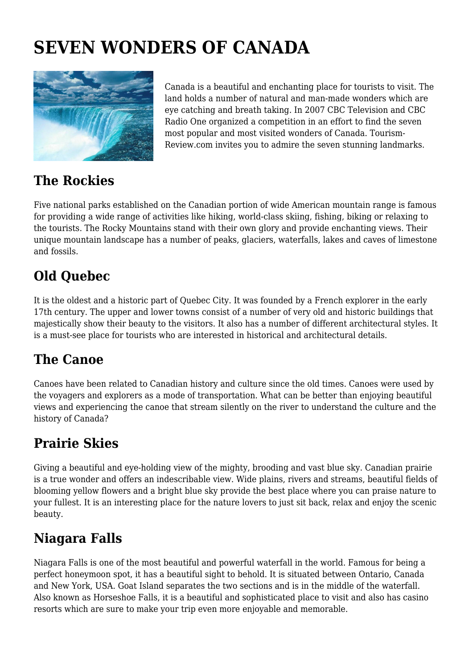# **SEVEN WONDERS OF CANADA**



Canada is a beautiful and enchanting place for tourists to visit. The land holds a number of natural and man-made wonders which are eye catching and breath taking. In 2007 CBC Television and CBC Radio One organized a competition in an effort to find the seven most popular and most visited wonders of Canada. Tourism-Review.com invites you to admire the seven stunning landmarks.

#### **The Rockies**

Five national parks established on the Canadian portion of wide American mountain range is famous for providing a wide range of activities like hiking, world-class skiing, fishing, biking or relaxing to the tourists. The Rocky Mountains stand with their own glory and provide enchanting views. Their unique mountain landscape has a number of peaks, glaciers, waterfalls, lakes and caves of limestone and fossils.

## **Old Quebec**

It is the oldest and a historic part of Quebec City. It was founded by a French explorer in the early 17th century. The upper and lower towns consist of a number of very old and historic buildings that majestically show their beauty to the visitors. It also has a number of different architectural styles. It is a must-see place for tourists who are interested in historical and architectural details.

### **The Canoe**

Canoes have been related to Canadian history and culture since the old times. Canoes were used by the voyagers and explorers as a mode of transportation. What can be better than enjoying beautiful views and experiencing the canoe that stream silently on the river to understand the culture and the history of Canada?

### **Prairie Skies**

Giving a beautiful and eye-holding view of the mighty, brooding and vast blue sky. Canadian prairie is a true wonder and offers an indescribable view. Wide plains, rivers and streams, beautiful fields of blooming yellow flowers and a bright blue sky provide the best place where you can praise nature to your fullest. It is an interesting place for the nature lovers to just sit back, relax and enjoy the scenic beauty.

#### **Niagara Falls**

Niagara Falls is one of the most beautiful and powerful waterfall in the world. Famous for being a perfect honeymoon spot, it has a beautiful sight to behold. It is situated between Ontario, Canada and New York, USA. Goat Island separates the two sections and is in the middle of the waterfall. Also known as Horseshoe Falls, it is a beautiful and sophisticated place to visit and also has casino resorts which are sure to make your trip even more enjoyable and memorable.